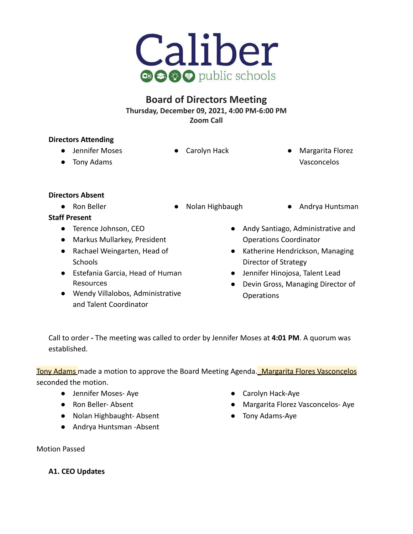

# **Board of Directors Meeting Thursday, December 09, 2021, 4:00 PM-6:00 PM Zoom Call**

# **Directors Attending**

- **●** Jennifer Moses
- 
- Carolyn Hack Margarita Florez Vasconcelos

● Tony Adams

# **Directors Absent**

- 
- Ron Beller Nolan Highbaugh Andrya Huntsman

# **Staff Present**

- Terence Johnson, CEO
- Markus Mullarkey, President
- Rachael Weingarten, Head of **Schools**
- Estefania Garcia, Head of Human Resources
- Wendy Villalobos, Administrative and Talent Coordinator
- Andy Santiago, Administrative and Operations Coordinator
- Katherine Hendrickson, Managing Director of Strategy
- Jennifer Hinojosa, Talent Lead
- Devin Gross, Managing Director of **Operations**

Call to order **-** The meeting was called to order by Jennifer Moses at **4:01 PM**. A quorum was established.

Tony Adams made a motion to approve the Board Meeting Agenda. Margarita Flores Vasconcelos seconded the motion.

- Jennifer Moses- Aye
- Ron Beller- Absent
- Nolan Highbaught- Absent
- Andrya Huntsman -Absent
- Carolyn Hack-Aye
- Margarita Florez Vasconcelos- Aye
- Tony Adams-Aye

Motion Passed

**A1. CEO Updates**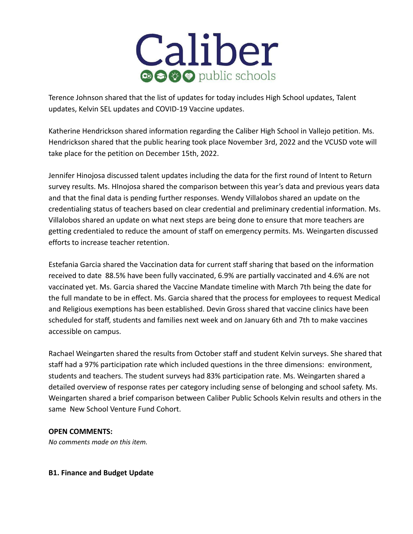

Terence Johnson shared that the list of updates for today includes High School updates, Talent updates, Kelvin SEL updates and COVID-19 Vaccine updates.

Katherine Hendrickson shared information regarding the Caliber High School in Vallejo petition. Ms. Hendrickson shared that the public hearing took place November 3rd, 2022 and the VCUSD vote will take place for the petition on December 15th, 2022.

Jennifer Hinojosa discussed talent updates including the data for the first round of Intent to Return survey results. Ms. HInojosa shared the comparison between this year's data and previous years data and that the final data is pending further responses. Wendy Villalobos shared an update on the credentialing status of teachers based on clear credential and preliminary credential information. Ms. Villalobos shared an update on what next steps are being done to ensure that more teachers are getting credentialed to reduce the amount of staff on emergency permits. Ms. Weingarten discussed efforts to increase teacher retention.

Estefania Garcia shared the Vaccination data for current staff sharing that based on the information received to date 88.5% have been fully vaccinated, 6.9% are partially vaccinated and 4.6% are not vaccinated yet. Ms. Garcia shared the Vaccine Mandate timeline with March 7th being the date for the full mandate to be in effect. Ms. Garcia shared that the process for employees to request Medical and Religious exemptions has been established. Devin Gross shared that vaccine clinics have been scheduled for staff, students and families next week and on January 6th and 7th to make vaccines accessible on campus.

Rachael Weingarten shared the results from October staff and student Kelvin surveys. She shared that staff had a 97% participation rate which included questions in the three dimensions: environment, students and teachers. The student surveys had 83% participation rate. Ms. Weingarten shared a detailed overview of response rates per category including sense of belonging and school safety. Ms. Weingarten shared a brief comparison between Caliber Public Schools Kelvin results and others in the same New School Venture Fund Cohort.

#### **OPEN COMMENTS:**

*No comments made on this item.*

#### **B1. Finance and Budget Update**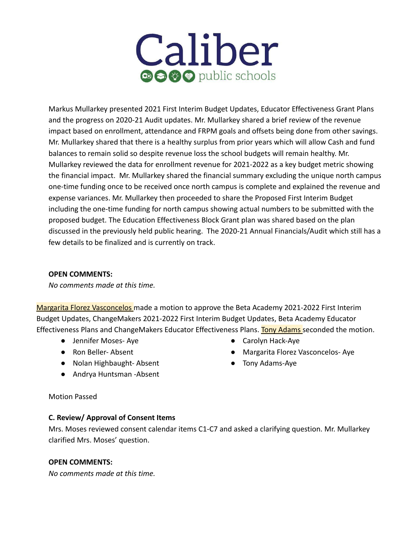# Caliber **⊕⊝⊙⊙** public schools

Markus Mullarkey presented 2021 First Interim Budget Updates, Educator Effectiveness Grant Plans and the progress on 2020-21 Audit updates. Mr. Mullarkey shared a brief review of the revenue impact based on enrollment, attendance and FRPM goals and offsets being done from other savings. Mr. Mullarkey shared that there is a healthy surplus from prior years which will allow Cash and fund balances to remain solid so despite revenue loss the school budgets will remain healthy. Mr. Mullarkey reviewed the data for enrollment revenue for 2021-2022 as a key budget metric showing the financial impact. Mr. Mullarkey shared the financial summary excluding the unique north campus one-time funding once to be received once north campus is complete and explained the revenue and expense variances. Mr. Mullarkey then proceeded to share the Proposed First Interim Budget including the one-time funding for north campus showing actual numbers to be submitted with the proposed budget. The Education Effectiveness Block Grant plan was shared based on the plan discussed in the previously held public hearing. The 2020-21 Annual Financials/Audit which still has a few details to be finalized and is currently on track.

# **OPEN COMMENTS:**

*No comments made at this time.*

Margarita Florez Vasconcelos made a motion to approve the Beta Academy 2021-2022 First Interim Budget Updates, ChangeMakers 2021-2022 First Interim Budget Updates, Beta Academy Educator Effectiveness Plans and ChangeMakers Educator Effectiveness Plans. Tony Adams seconded the motion.

- Jennifer Moses- Aye
- Ron Beller- Absent
- Nolan Highbaught- Absent
- Andrya Huntsman -Absent
- Carolyn Hack-Aye
- Margarita Florez Vasconcelos- Aye
- Tony Adams-Aye

# Motion Passed

# **C. Review/ Approval of Consent Items**

Mrs. Moses reviewed consent calendar items C1-C7 and asked a clarifying question. Mr. Mullarkey clarified Mrs. Moses' question.

# **OPEN COMMENTS:**

*No comments made at this time.*